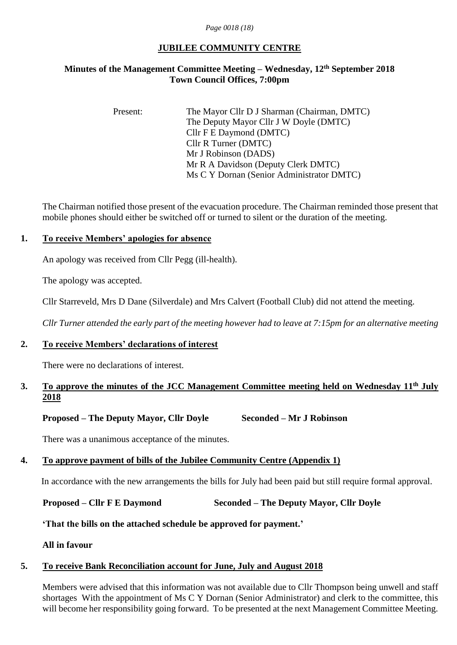#### *Page 0018 (18)*

# **JUBILEE COMMUNITY CENTRE**

# **Minutes of the Management Committee Meeting – Wednesday, 12 th September 2018 Town Council Offices, 7:00pm**

Present: The Mayor Cllr D J Sharman (Chairman, DMTC) The Deputy Mayor Cllr J W Doyle (DMTC) Cllr F E Daymond (DMTC) Cllr R Turner (DMTC) Mr J Robinson (DADS) Mr R A Davidson (Deputy Clerk DMTC) Ms C Y Dornan (Senior Administrator DMTC)

The Chairman notified those present of the evacuation procedure. The Chairman reminded those present that mobile phones should either be switched off or turned to silent or the duration of the meeting.

#### **1. To receive Members' apologies for absence**

An apology was received from Cllr Pegg (ill-health).

The apology was accepted.

Cllr Starreveld, Mrs D Dane (Silverdale) and Mrs Calvert (Football Club) did not attend the meeting.

*Cllr Turner attended the early part of the meeting however had to leave at 7:15pm for an alternative meeting*

# **2. To receive Members' declarations of interest**

There were no declarations of interest.

# **3. To approve the minutes of the JCC Management Committee meeting held on Wednesday 11 th July 2018**

#### **Proposed – The Deputy Mayor, Cllr Doyle Seconded – Mr J Robinson**

There was a unanimous acceptance of the minutes.

# **4. To approve payment of bills of the Jubilee Community Centre (Appendix 1)**

In accordance with the new arrangements the bills for July had been paid but still require formal approval.

**Proposed – Cllr F E Daymond Seconded – The Deputy Mayor, Cllr Doyle**

**'That the bills on the attached schedule be approved for payment.'**

**All in favour**

#### **5. To receive Bank Reconciliation account for June, July and August 2018**

Members were advised that this information was not available due to Cllr Thompson being unwell and staff shortages With the appointment of Ms C Y Dornan (Senior Administrator) and clerk to the committee, this will become her responsibility going forward. To be presented at the next Management Committee Meeting.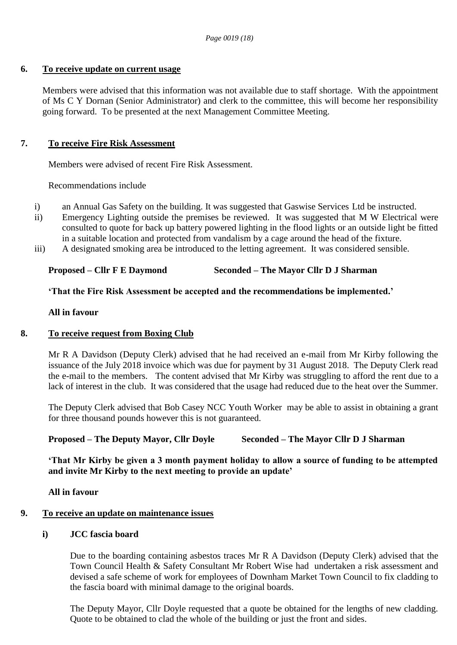#### **6. To receive update on current usage**

Members were advised that this information was not available due to staff shortage. With the appointment of Ms C Y Dornan (Senior Administrator) and clerk to the committee, this will become her responsibility going forward. To be presented at the next Management Committee Meeting.

#### **7. To receive Fire Risk Assessment**

Members were advised of recent Fire Risk Assessment.

Recommendations include

- i) an Annual Gas Safety on the building. It was suggested that Gaswise Services Ltd be instructed.
- ii) Emergency Lighting outside the premises be reviewed. It was suggested that M W Electrical were consulted to quote for back up battery powered lighting in the flood lights or an outside light be fitted in a suitable location and protected from vandalism by a cage around the head of the fixture.
- iii) A designated smoking area be introduced to the letting agreement. It was considered sensible.

# **Proposed – Cllr F E Daymond Seconded – The Mayor Cllr D J Sharman**

#### **'That the Fire Risk Assessment be accepted and the recommendations be implemented.'**

#### **All in favour**

# **8. To receive request from Boxing Club**

Mr R A Davidson (Deputy Clerk) advised that he had received an e-mail from Mr Kirby following the issuance of the July 2018 invoice which was due for payment by 31 August 2018. The Deputy Clerk read the e-mail to the members. The content advised that Mr Kirby was struggling to afford the rent due to a lack of interest in the club. It was considered that the usage had reduced due to the heat over the Summer.

The Deputy Clerk advised that Bob Casey NCC Youth Worker may be able to assist in obtaining a grant for three thousand pounds however this is not guaranteed.

# **Proposed – The Deputy Mayor, Cllr Doyle Seconded – The Mayor Cllr D J Sharman**

**'That Mr Kirby be given a 3 month payment holiday to allow a source of funding to be attempted and invite Mr Kirby to the next meeting to provide an update'**

**All in favour**

# **9. To receive an update on maintenance issues**

#### **i) JCC fascia board**

Due to the boarding containing asbestos traces Mr R A Davidson (Deputy Clerk) advised that the Town Council Health & Safety Consultant Mr Robert Wise had undertaken a risk assessment and devised a safe scheme of work for employees of Downham Market Town Council to fix cladding to the fascia board with minimal damage to the original boards.

The Deputy Mayor, Cllr Doyle requested that a quote be obtained for the lengths of new cladding. Quote to be obtained to clad the whole of the building or just the front and sides.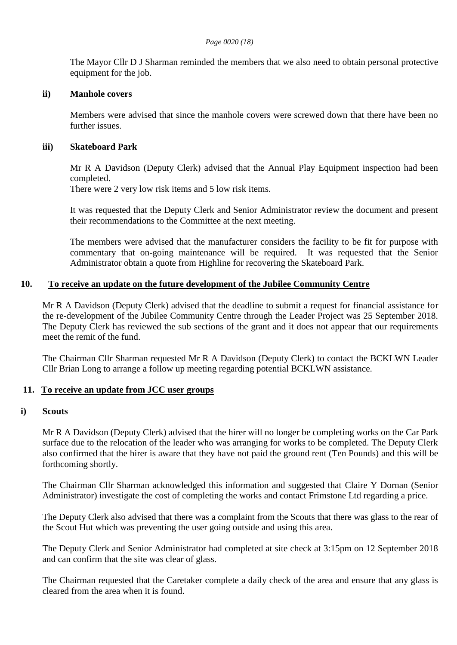The Mayor Cllr D J Sharman reminded the members that we also need to obtain personal protective equipment for the job.

#### **ii) Manhole covers**

Members were advised that since the manhole covers were screwed down that there have been no further issues.

#### **iii) Skateboard Park**

Mr R A Davidson (Deputy Clerk) advised that the Annual Play Equipment inspection had been completed.

There were 2 very low risk items and 5 low risk items.

It was requested that the Deputy Clerk and Senior Administrator review the document and present their recommendations to the Committee at the next meeting.

The members were advised that the manufacturer considers the facility to be fit for purpose with commentary that on-going maintenance will be required. It was requested that the Senior Administrator obtain a quote from Highline for recovering the Skateboard Park.

#### **10. To receive an update on the future development of the Jubilee Community Centre**

Mr R A Davidson (Deputy Clerk) advised that the deadline to submit a request for financial assistance for the re-development of the Jubilee Community Centre through the Leader Project was 25 September 2018. The Deputy Clerk has reviewed the sub sections of the grant and it does not appear that our requirements meet the remit of the fund.

The Chairman Cllr Sharman requested Mr R A Davidson (Deputy Clerk) to contact the BCKLWN Leader Cllr Brian Long to arrange a follow up meeting regarding potential BCKLWN assistance.

#### **11. To receive an update from JCC user groups**

#### **i) Scouts**

Mr R A Davidson (Deputy Clerk) advised that the hirer will no longer be completing works on the Car Park surface due to the relocation of the leader who was arranging for works to be completed. The Deputy Clerk also confirmed that the hirer is aware that they have not paid the ground rent (Ten Pounds) and this will be forthcoming shortly.

The Chairman Cllr Sharman acknowledged this information and suggested that Claire Y Dornan (Senior Administrator) investigate the cost of completing the works and contact Frimstone Ltd regarding a price.

The Deputy Clerk also advised that there was a complaint from the Scouts that there was glass to the rear of the Scout Hut which was preventing the user going outside and using this area.

The Deputy Clerk and Senior Administrator had completed at site check at 3:15pm on 12 September 2018 and can confirm that the site was clear of glass.

The Chairman requested that the Caretaker complete a daily check of the area and ensure that any glass is cleared from the area when it is found.